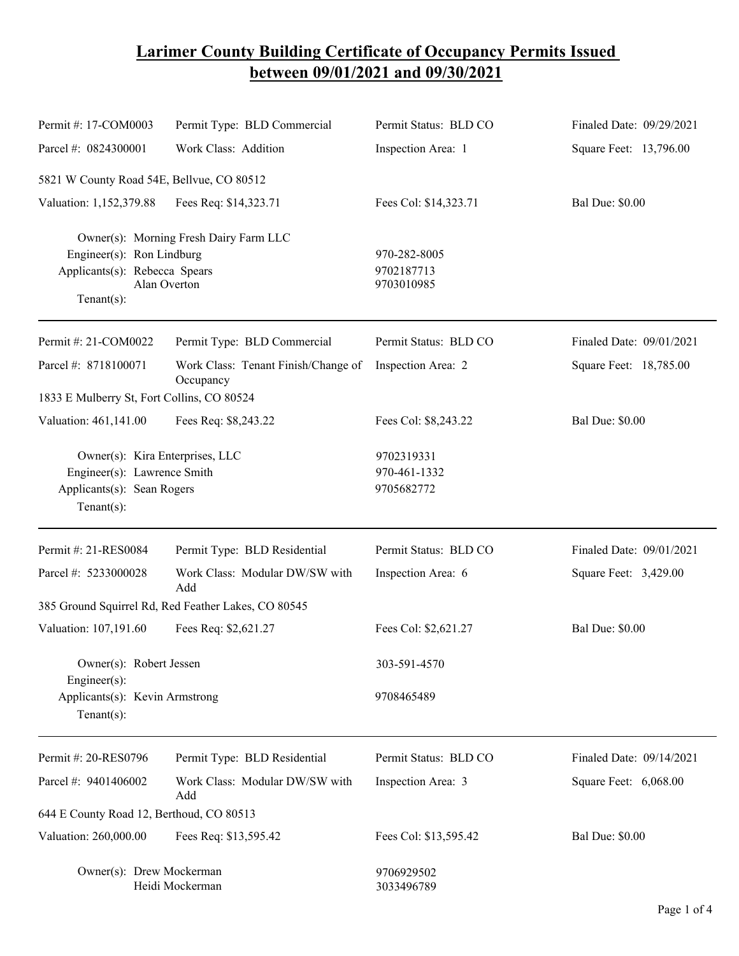## **Larimer County Building Certificate of Occupancy Permits Issued between 09/01/2021 and 09/30/2021**

| Permit #: 17-COM0003                                                                                                                   | Permit Type: BLD Commercial                         | Permit Status: BLD CO                    | Finaled Date: 09/29/2021 |
|----------------------------------------------------------------------------------------------------------------------------------------|-----------------------------------------------------|------------------------------------------|--------------------------|
| Parcel #: 0824300001                                                                                                                   | Work Class: Addition                                | Inspection Area: 1                       | Square Feet: 13,796.00   |
| 5821 W County Road 54E, Bellvue, CO 80512                                                                                              |                                                     |                                          |                          |
| Valuation: 1,152,379.88                                                                                                                | Fees Req: \$14,323.71                               | Fees Col: \$14,323.71                    | <b>Bal Due: \$0.00</b>   |
| Owner(s): Morning Fresh Dairy Farm LLC<br>Engineer(s): Ron Lindburg<br>Applicants(s): Rebecca Spears<br>Alan Overton<br>Tenant $(s)$ : |                                                     | 970-282-8005<br>9702187713<br>9703010985 |                          |
| Permit #: 21-COM0022                                                                                                                   | Permit Type: BLD Commercial                         | Permit Status: BLD CO                    | Finaled Date: 09/01/2021 |
| Parcel #: 8718100071                                                                                                                   | Work Class: Tenant Finish/Change of<br>Occupancy    | Inspection Area: 2                       | Square Feet: 18,785.00   |
| 1833 E Mulberry St, Fort Collins, CO 80524                                                                                             |                                                     |                                          |                          |
| Valuation: 461,141.00                                                                                                                  | Fees Req: \$8,243.22                                | Fees Col: \$8,243.22                     | <b>Bal Due: \$0.00</b>   |
| Owner(s): Kira Enterprises, LLC<br>Engineer(s): Lawrence Smith<br>Applicants(s): Sean Rogers<br>$Tenant(s)$ :                          |                                                     | 9702319331<br>970-461-1332<br>9705682772 |                          |
| Permit #: 21-RES0084                                                                                                                   | Permit Type: BLD Residential                        | Permit Status: BLD CO                    | Finaled Date: 09/01/2021 |
| Parcel #: 5233000028                                                                                                                   | Work Class: Modular DW/SW with<br>Add               | Inspection Area: 6                       | Square Feet: 3,429.00    |
|                                                                                                                                        | 385 Ground Squirrel Rd, Red Feather Lakes, CO 80545 |                                          |                          |
| Valuation: 107,191.60                                                                                                                  | Fees Req: \$2,621.27                                | Fees Col: \$2,621.27                     | <b>Bal Due: \$0.00</b>   |
| Owner(s): Robert Jessen                                                                                                                |                                                     | 303-591-4570                             |                          |
| Engineer(s):<br>Applicants(s): Kevin Armstrong<br>$Tenant(s)$ :                                                                        |                                                     | 9708465489                               |                          |
| Permit #: 20-RES0796                                                                                                                   | Permit Type: BLD Residential                        | Permit Status: BLD CO                    | Finaled Date: 09/14/2021 |
| Parcel #: 9401406002                                                                                                                   | Work Class: Modular DW/SW with<br>Add               | Inspection Area: 3                       | Square Feet: 6,068.00    |
| 644 E County Road 12, Berthoud, CO 80513                                                                                               |                                                     |                                          |                          |
| Valuation: 260,000.00                                                                                                                  | Fees Req: \$13,595.42                               | Fees Col: \$13,595.42                    | <b>Bal Due: \$0.00</b>   |
| Owner(s): Drew Mockerman<br>Heidi Mockerman                                                                                            |                                                     | 9706929502<br>3033496789                 |                          |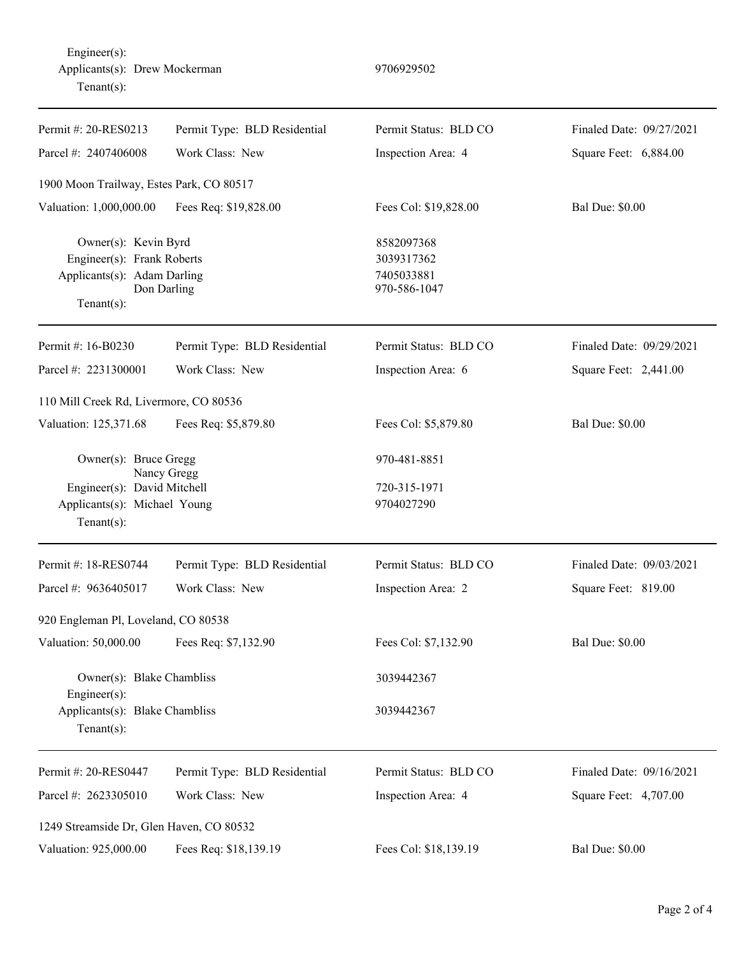| Permit #: 20-RES0213                                                                                                  | Permit Type: BLD Residential | Permit Status: BLD CO                                  | Finaled Date: 09/27/2021 |
|-----------------------------------------------------------------------------------------------------------------------|------------------------------|--------------------------------------------------------|--------------------------|
| Parcel #: 2407406008                                                                                                  | Work Class: New              | Inspection Area: 4                                     | Square Feet: 6,884.00    |
| 1900 Moon Trailway, Estes Park, CO 80517                                                                              |                              |                                                        |                          |
| Valuation: 1,000,000.00                                                                                               | Fees Req: \$19,828.00        | Fees Col: \$19,828.00                                  | <b>Bal Due: \$0.00</b>   |
| Owner(s): Kevin Byrd<br>Engineer(s): Frank Roberts<br>Applicants(s): Adam Darling<br>Don Darling<br>$Tenant(s)$ :     |                              | 8582097368<br>3039317362<br>7405033881<br>970-586-1047 |                          |
| Permit #: 16-B0230                                                                                                    | Permit Type: BLD Residential | Permit Status: BLD CO                                  | Finaled Date: 09/29/2021 |
| Parcel #: 2231300001                                                                                                  | Work Class: New              | Inspection Area: 6                                     | Square Feet: 2,441.00    |
| 110 Mill Creek Rd, Livermore, CO 80536                                                                                |                              |                                                        |                          |
| Valuation: 125,371.68                                                                                                 | Fees Req: \$5,879.80         | Fees Col: \$5,879.80                                   | <b>Bal Due: \$0.00</b>   |
| Owner(s): Bruce Gregg<br>Nancy Gregg<br>Engineer(s): David Mitchell<br>Applicants(s): Michael Young<br>Tenant $(s)$ : |                              | 970-481-8851<br>720-315-1971<br>9704027290             |                          |
| Permit #: 18-RES0744                                                                                                  | Permit Type: BLD Residential | Permit Status: BLD CO                                  | Finaled Date: 09/03/2021 |
| Parcel #: 9636405017                                                                                                  | Work Class: New              | Inspection Area: 2                                     | Square Feet: 819.00      |
| 920 Engleman Pl, Loveland, CO 80538                                                                                   |                              |                                                        |                          |
| Valuation: 50,000.00                                                                                                  | Fees Req: \$7,132.90         | Fees Col: \$7,132.90                                   | <b>Bal Due: \$0.00</b>   |
| Owner(s): Blake Chambliss<br>Engineer $(s)$ :<br>Applicants(s): Blake Chambliss<br>Tenant $(s)$ :                     |                              | 3039442367<br>3039442367                               |                          |
| Permit #: 20-RES0447                                                                                                  | Permit Type: BLD Residential | Permit Status: BLD CO                                  | Finaled Date: 09/16/2021 |
| Parcel #: 2623305010                                                                                                  | Work Class: New              | Inspection Area: 4                                     | Square Feet: 4,707.00    |
| 1249 Streamside Dr, Glen Haven, CO 80532                                                                              |                              |                                                        |                          |
| Valuation: 925,000.00                                                                                                 | Fees Req: \$18,139.19        | Fees Col: \$18,139.19                                  | <b>Bal Due: \$0.00</b>   |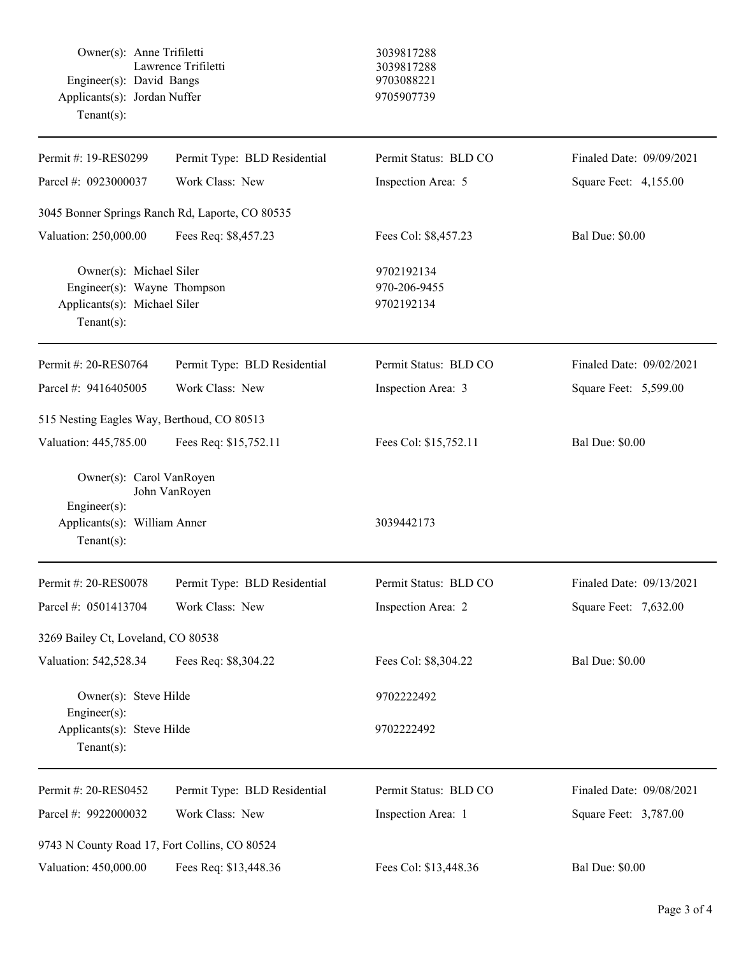| Owner(s): Anne Trifiletti<br>Engineer(s): David Bangs<br>Applicants(s): Jordan Nuffer<br>Tenant $(s)$ :    | Lawrence Trifiletti                             | 3039817288<br>3039817288<br>9703088221<br>9705907739 |                          |
|------------------------------------------------------------------------------------------------------------|-------------------------------------------------|------------------------------------------------------|--------------------------|
| Permit #: 19-RES0299                                                                                       | Permit Type: BLD Residential                    | Permit Status: BLD CO                                | Finaled Date: 09/09/2021 |
| Parcel #: 0923000037                                                                                       | Work Class: New                                 | Inspection Area: 5                                   | Square Feet: 4,155.00    |
|                                                                                                            | 3045 Bonner Springs Ranch Rd, Laporte, CO 80535 |                                                      |                          |
| Valuation: 250,000.00                                                                                      | Fees Req: \$8,457.23                            | Fees Col: \$8,457.23                                 | <b>Bal Due: \$0.00</b>   |
| Owner(s): Michael Siler<br>Engineer(s): Wayne Thompson<br>Applicants(s): Michael Siler<br>$Tenant(s)$ :    |                                                 | 9702192134<br>970-206-9455<br>9702192134             |                          |
| Permit #: 20-RES0764                                                                                       | Permit Type: BLD Residential                    | Permit Status: BLD CO                                | Finaled Date: 09/02/2021 |
| Parcel #: 9416405005                                                                                       | Work Class: New                                 | Inspection Area: 3                                   | Square Feet: 5,599.00    |
| 515 Nesting Eagles Way, Berthoud, CO 80513                                                                 |                                                 |                                                      |                          |
| Valuation: 445,785.00                                                                                      | Fees Req: \$15,752.11                           | Fees Col: \$15,752.11                                | <b>Bal Due: \$0.00</b>   |
| Owner(s): Carol VanRoyen<br>John VanRoyen<br>Engineer(s):<br>Applicants(s): William Anner<br>$Tenant(s)$ : |                                                 | 3039442173                                           |                          |
| Permit #: 20-RES0078                                                                                       | Permit Type: BLD Residential                    | Permit Status: BLD CO                                | Finaled Date: 09/13/2021 |
| Parcel #: 0501413704                                                                                       | Work Class: New                                 | Inspection Area: 2                                   | Square Feet: 7,632.00    |
| 3269 Bailey Ct, Loveland, CO 80538                                                                         |                                                 |                                                      |                          |
| Valuation: 542,528.34                                                                                      | Fees Req: \$8,304.22                            | Fees Col: \$8,304.22                                 | <b>Bal Due: \$0.00</b>   |
| Owner(s): Steve Hilde<br>Engineer(s):                                                                      |                                                 | 9702222492                                           |                          |
| Applicants(s): Steve Hilde<br>$Tenant(s)$ :                                                                |                                                 | 9702222492                                           |                          |
| Permit #: 20-RES0452                                                                                       | Permit Type: BLD Residential                    | Permit Status: BLD CO                                | Finaled Date: 09/08/2021 |
| Parcel #: 9922000032                                                                                       | Work Class: New                                 | Inspection Area: 1                                   | Square Feet: 3,787.00    |
| 9743 N County Road 17, Fort Collins, CO 80524                                                              |                                                 |                                                      |                          |
| Valuation: 450,000.00                                                                                      | Fees Req: \$13,448.36                           | Fees Col: \$13,448.36                                | <b>Bal Due: \$0.00</b>   |